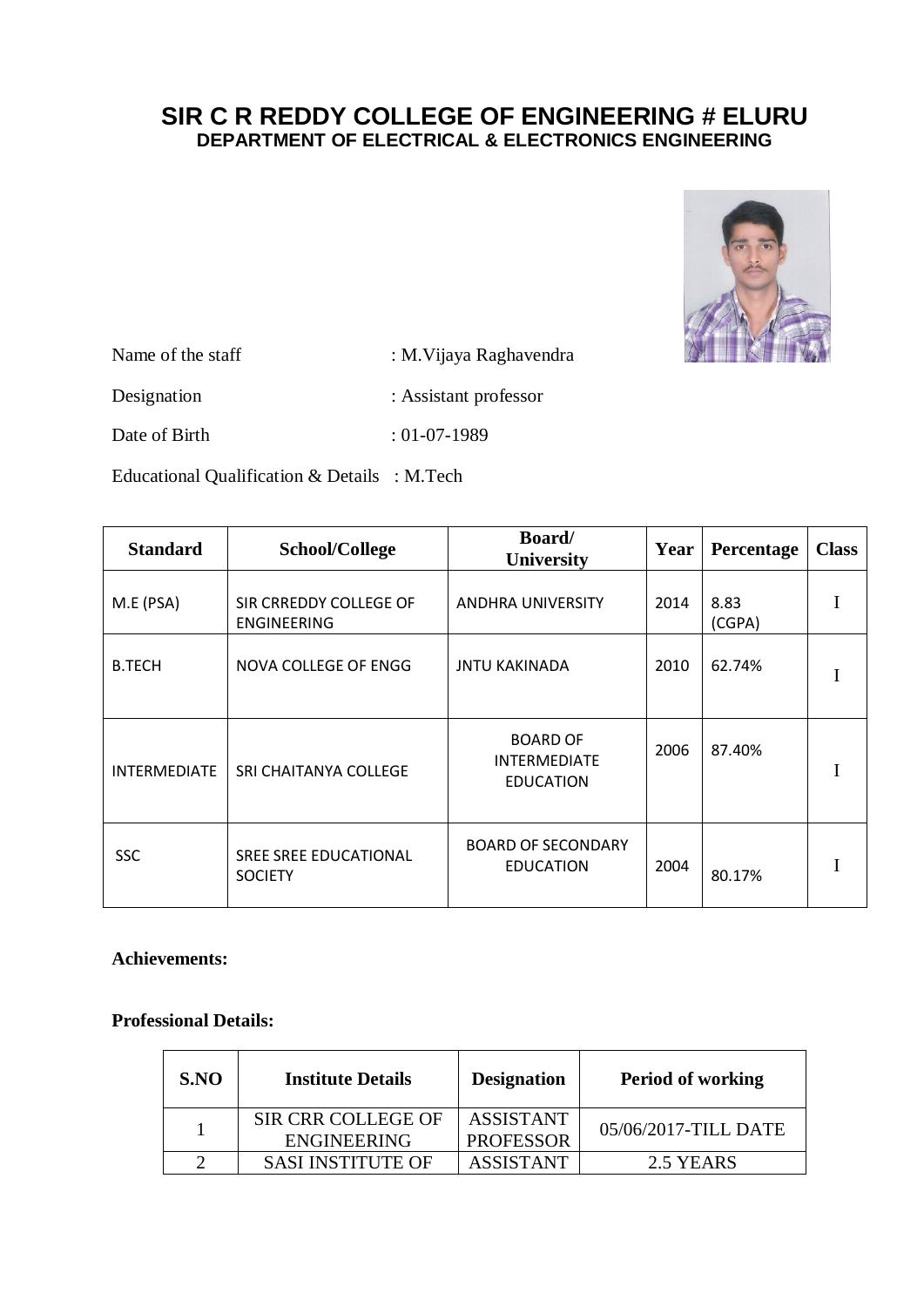# **SIR C R REDDY COLLEGE OF ENGINEERING # ELURU DEPARTMENT OF ELECTRICAL & ELECTRONICS ENGINEERING**



Name of the staff : M.Vijaya Raghavendra Designation : Assistant professor

Date of Birth : 01-07-1989

Educational Qualification & Details : M.Tech

| <b>Standard</b>     | School/College                               | Board/<br><b>University</b>                                | Year | Percentage     | <b>Class</b> |
|---------------------|----------------------------------------------|------------------------------------------------------------|------|----------------|--------------|
| M.E (PSA)           | SIR CRREDDY COLLEGE OF<br><b>ENGINEERING</b> | <b>ANDHRA UNIVERSITY</b>                                   | 2014 | 8.83<br>(CGPA) |              |
| <b>B.TECH</b>       | NOVA COLLEGE OF ENGG                         | <b>JNTU KAKINADA</b>                                       | 2010 | 62.74%         |              |
| <b>INTERMEDIATE</b> | SRI CHAITANYA COLLEGE                        | <b>BOARD OF</b><br><b>INTERMEDIATE</b><br><b>EDUCATION</b> | 2006 | 87.40%         |              |
| <b>SSC</b>          | SREE SREE EDUCATIONAL<br><b>SOCIETY</b>      | <b>BOARD OF SECONDARY</b><br><b>EDUCATION</b>              | 2004 | 80.17%         |              |

## **Achievements:**

#### **Professional Details:**

| SNO | <b>Institute Details</b>                        | <b>Designation</b>                   | <b>Period of working</b> |
|-----|-------------------------------------------------|--------------------------------------|--------------------------|
|     | <b>SIR CRR COLLEGE OF</b><br><b>ENGINEERING</b> | <b>ASSISTANT</b><br><b>PROFESSOR</b> | 05/06/2017-TILL DATE     |
|     | <b>SASI INSTITUTE OF</b>                        | <b>ASSISTANT</b>                     | 2.5 YEARS                |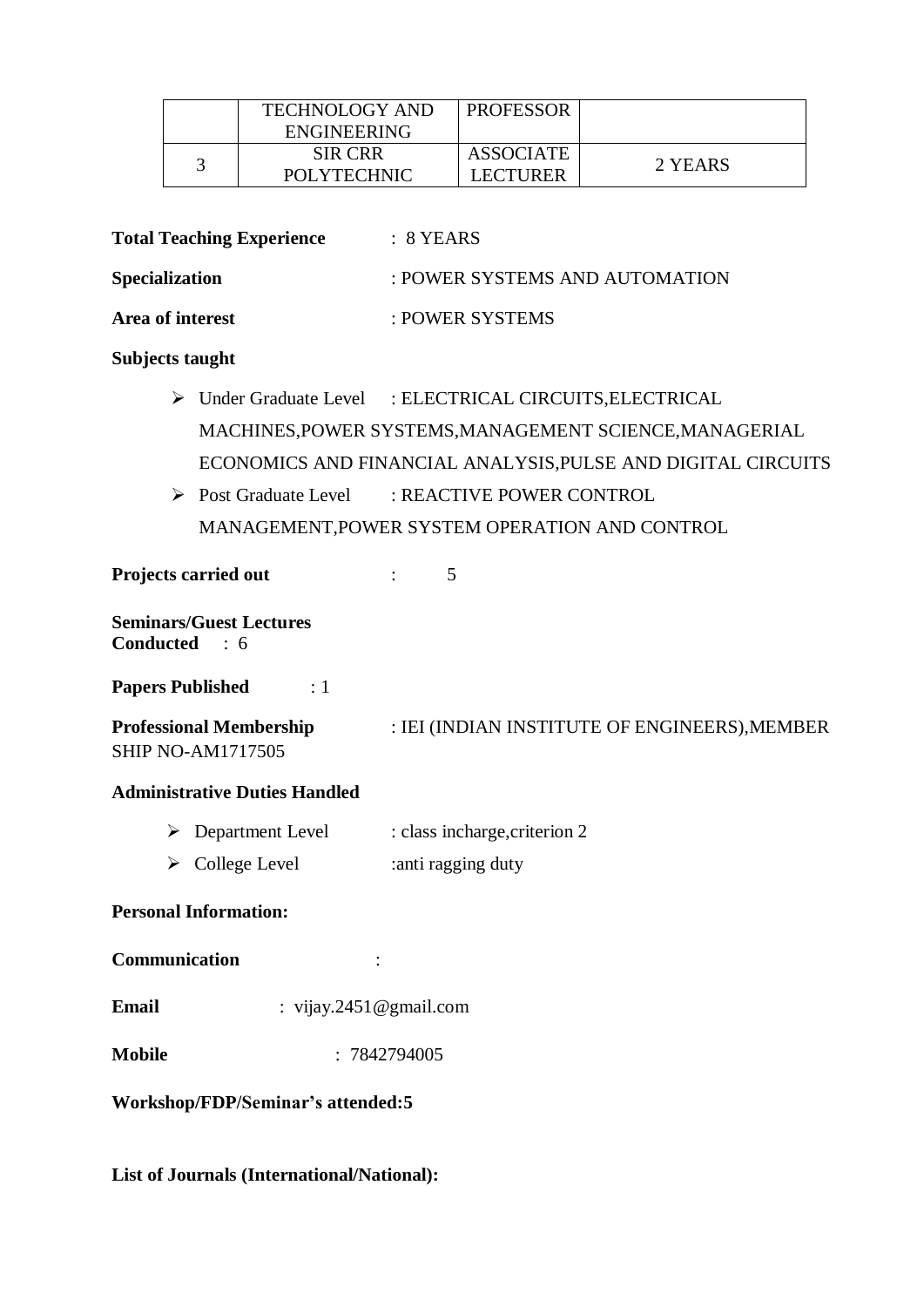|  | <b>TECHNOLOGY AND</b> | <b>PROFESSOR</b> |         |
|--|-----------------------|------------------|---------|
|  | ENGINEERING           |                  |         |
|  | <b>SIR CRR</b>        | ASSOCIATE        | 2 YEARS |
|  | <b>POLYTECHNIC</b>    | <b>LECTURER</b>  |         |

**Total Teaching Experience** : 8 YEARS

Specialization : POWER SYSTEMS AND AUTOMATION

Area of interest  $\qquad$  : POWER SYSTEMS

### **Subjects taught**

- > Under Graduate Level : ELECTRICAL CIRCUITS, ELECTRICAL MACHINES,POWER SYSTEMS,MANAGEMENT SCIENCE,MANAGERIAL ECONOMICS AND FINANCIAL ANALYSIS,PULSE AND DIGITAL CIRCUITS
- Post Graduate Level : REACTIVE POWER CONTROL MANAGEMENT,POWER SYSTEM OPERATION AND CONTROL

**Projects carried out** : 5

**Seminars/Guest Lectures Conducted** : 6

**Papers Published** : 1

**Professional Membership** : IEI (INDIAN INSTITUTE OF ENGINEERS), MEMBER SHIP NO-AM1717505

### **Administrative Duties Handled**

- $\triangleright$  Department Level : class incharge, criterion 2
- $\triangleright$  College Level : anti ragging duty

### **Personal Information:**

**Communication** :

- **Email** : vijay.2451@gmail.com
- **Mobile** : 7842794005

**Workshop/FDP/Seminar's attended:5**

**List of Journals (International/National):**